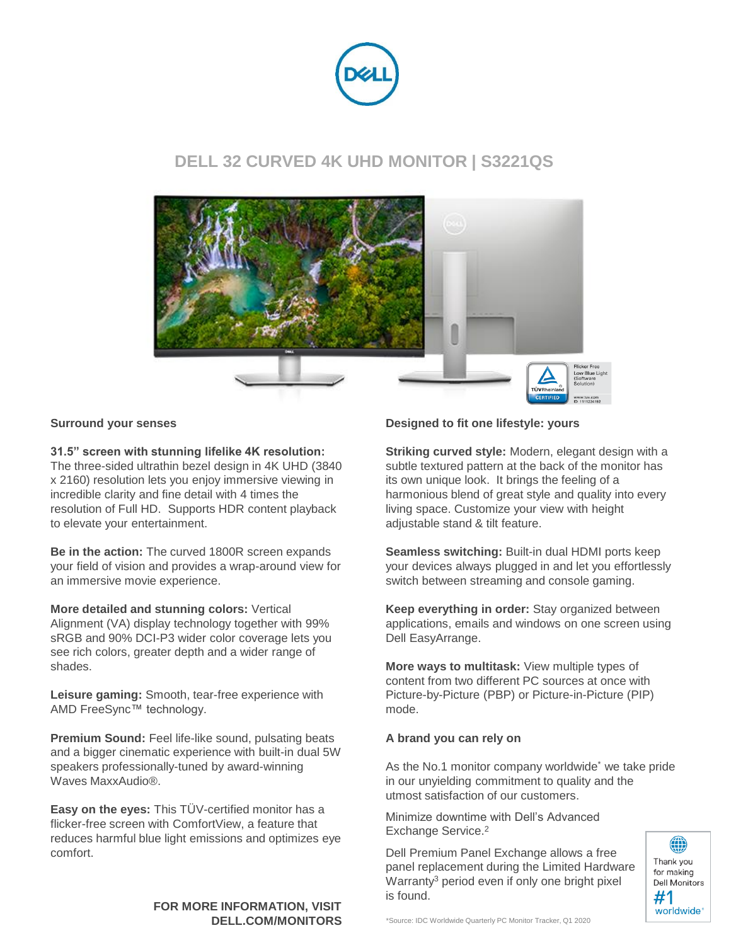

### **DELL 32 CURVED 4K UHD MONITOR | S3221QS**



#### **Surround your senses**

**31.5" screen with stunning lifelike 4K resolution:** 

The three-sided ultrathin bezel design in 4K UHD (3840 x 2160) resolution lets you enjoy immersive viewing in incredible clarity and fine detail with 4 times the resolution of Full HD. Supports HDR content playback to elevate your entertainment.

**Be in the action:** The curved 1800R screen expands your field of vision and provides a wrap-around view for an immersive movie experience.

**More detailed and stunning colors:** Vertical Alignment (VA) display technology together with 99% sRGB and 90% DCI-P3 wider color coverage lets you see rich colors, greater depth and a wider range of shades.

**Leisure gaming:** Smooth, tear-free experience with AMD FreeSync™ technology.

**Premium Sound:** Feel life-like sound, pulsating beats and a bigger cinematic experience with built-in dual 5W speakers professionally-tuned by award-winning Waves MaxxAudio®.

**Easy on the eyes:** This TÜV-certified monitor has a flicker-free screen with ComfortView, a feature that reduces harmful blue light emissions and optimizes eye comfort.

## **FOR MORE INFORMATION, VISIT**

#### **Designed to fit one lifestyle: yours**

**Striking curved style:** Modern, elegant design with a subtle textured pattern at the back of the monitor has its own unique look. It brings the feeling of a harmonious blend of great style and quality into every living space. Customize your view with height adjustable stand & tilt feature.

**Seamless switching:** Built-in dual HDMI ports keep your devices always plugged in and let you effortlessly switch between streaming and console gaming.

**Keep everything in order:** Stay organized between applications, emails and windows on one screen using Dell EasyArrange.

**More ways to multitask:** View multiple types of content from two different PC sources at once with Picture-by-Picture (PBP) or Picture-in-Picture (PIP) mode.

#### **A brand you can rely on**

As the No.1 monitor company worldwide\* we take pride in our unyielding commitment to quality and the utmost satisfaction of our customers.

Minimize downtime with Dell's Advanced Exchange Service.<sup>2</sup>

Dell Premium Panel Exchange allows a free panel replacement during the Limited Hardware Warranty<sup>3</sup> period even if only one bright pixel is found.